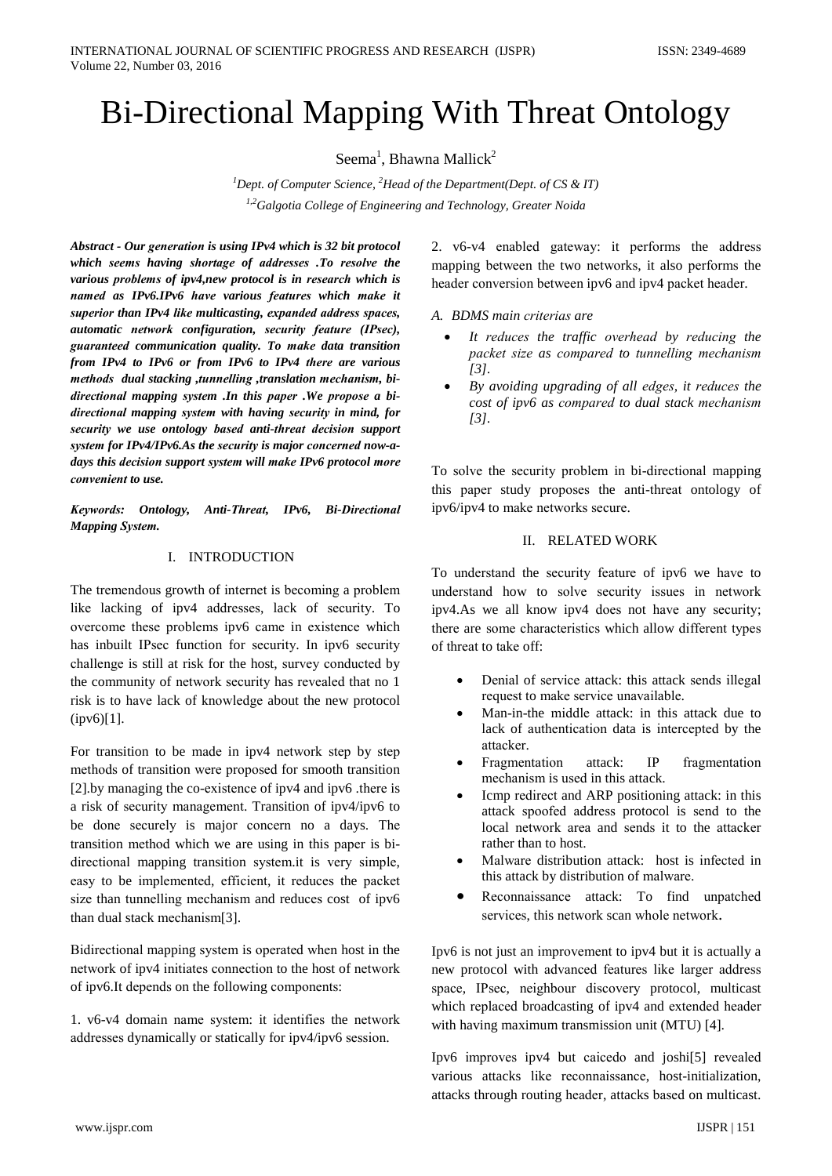# **Bi-Directional Mapping With Threat Ontology**

Seema<sup>1</sup>, Bhawna Mallick<sup>2</sup>

<sup>1</sup>Dept. of Computer Science, <sup>2</sup>Head of the Department(Dept. of CS & IT) <sup>1,2</sup>Galgotia College of Engineering and Technology, Greater Noida

Abstract - Our generation is using IPv4 which is 32 bit protocol which seems having shortage of addresses .To resolve the various problems of ipv4,new protocol is in research which is named as IPv6.IPv6 have various features which make it superior than IPv4 like multicasting, expanded address spaces, automatic network configuration, security feature (IPsec), guaranteed communication quality. To make data transition from IPv4 to IPv6 or from IPv6 to IPv4 there are various methods dual stacking, tunnelling, translation mechanism, bidirectional mapping system .In this paper .We propose a bidirectional mapping system with having security in mind, for security we use ontology based anti-threat decision support system for IPv4/IPv6.As the security is major concerned now-adays this decision support system will make IPv6 protocol more convenient to use.

Keywords: Ontology, Anti-Threat, IPv6, Bi-Directional **Mapping System.** 

# I. INTRODUCTION

The tremendous growth of internet is becoming a problem like lacking of ipv4 addresses, lack of security. To overcome these problems ipv6 came in existence which has inbuilt IPsec function for security. In ipv6 security challenge is still at risk for the host, survey conducted by the community of network security has revealed that no 1 risk is to have lack of knowledge about the new protocol  $(ipv6)[1]$ .

For transition to be made in ipv4 network step by step methods of transition were proposed for smooth transition [2] by managing the co-existence of ipv4 and ipv6 .there is a risk of security management. Transition of ipv4/ipv6 to be done securely is major concern no a days. The transition method which we are using in this paper is bidirectional mapping transition system.it is very simple, easy to be implemented, efficient, it reduces the packet size than tunnelling mechanism and reduces cost of ipv6 than dual stack mechanism[3].

Bidirectional mapping system is operated when host in the network of ipv4 initiates connection to the host of network of ipv6. It depends on the following components:

1. v6-v4 domain name system: it identifies the network addresses dynamically or statically for ipv4/ipv6 session.

2. v6-v4 enabled gateway: it performs the address mapping between the two networks, it also performs the header conversion between ipv6 and ipv4 packet header.

A. BDMS main criterias are

- It reduces the traffic overhead by reducing the packet size as compared to tunnelling mechanism  $[3]$ .
- By avoiding upgrading of all edges, it reduces the cost of ipv6 as compared to dual stack mechanism  $[3]$ .

To solve the security problem in bi-directional mapping this paper study proposes the anti-threat ontology of ipv6/ipv4 to make networks secure.

# **II. RELATED WORK**

To understand the security feature of ipv6 we have to understand how to solve security issues in network ipv4.As we all know ipv4 does not have any security; there are some characteristics which allow different types of threat to take off:

- Denial of service attack: this attack sends illegal request to make service unavailable.
- Man-in-the middle attack: in this attack due to lack of authentication data is intercepted by the attacker.
- Fragmentation **IP** fragmentation  $attack$ mechanism is used in this attack.
- Icmp redirect and ARP positioning attack: in this attack spoofed address protocol is send to the local network area and sends it to the attacker rather than to host.
- Malware distribution attack: host is infected in this attack by distribution of malware.
- Reconnaissance attack: To find unpatched services, this network scan whole network.

Ipv6 is not just an improvement to ipv4 but it is actually a new protocol with advanced features like larger address space, IPsec, neighbour discovery protocol, multicast which replaced broadcasting of ipv4 and extended header with having maximum transmission unit (MTU) [4].

Ipv6 improves ipv4 but caicedo and joshi[5] revealed various attacks like reconnaissance, host-initialization, attacks through routing header, attacks based on multicast.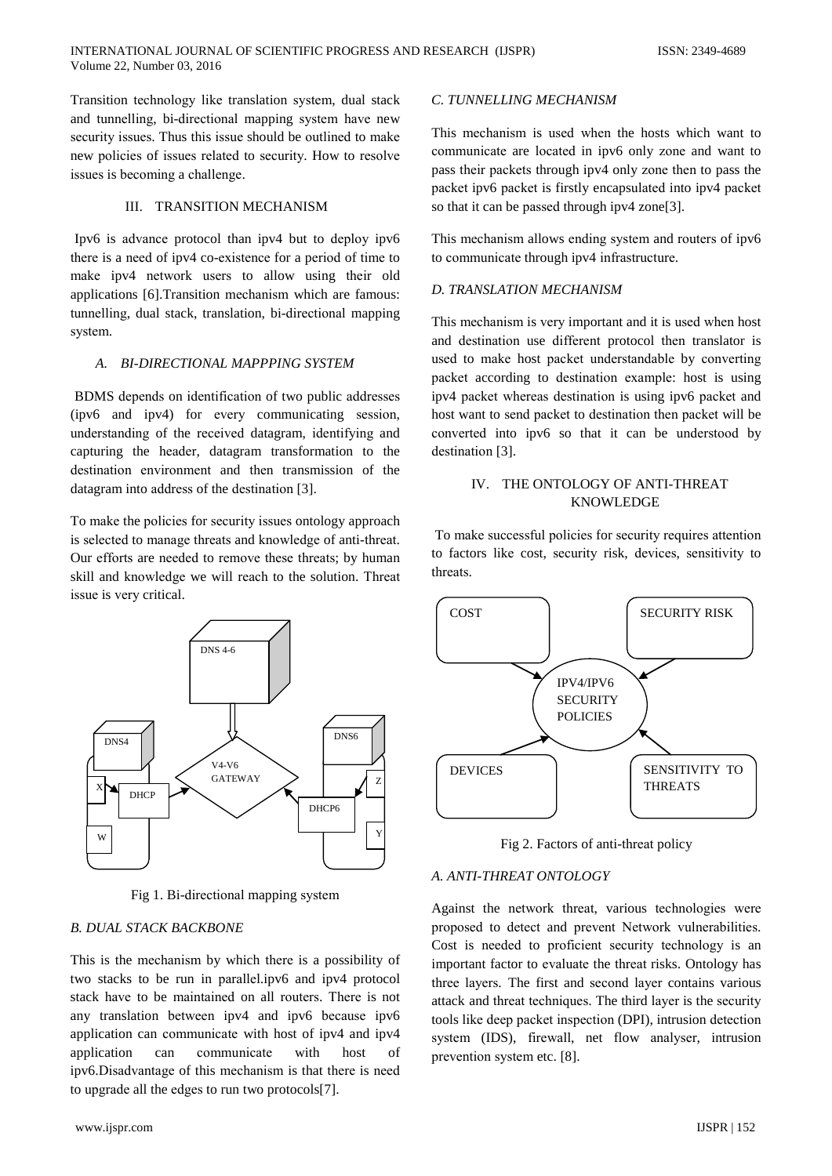Transition technology like translation system, dual stack and tunnelling, bi-directional mapping system have new security issues. Thus this issue should be outlined to make new policies of issues related to security. How to resolve issues is becoming a challenge.

#### III. TRANSITION MECHANISM

Ipv6 is advance protocol than ipv4 but to deploy ipv6 there is a need of ipv4 co-existence for a period of time to make ipv4 network users to allow using their old applications [6]. Transition mechanism which are famous: tunnelling, dual stack, translation, bi-directional mapping system.

## A. BI-DIRECTIONAL MAPPPING SYSTEM

BDMS depends on identification of two public addresses (ipv6 and ipv4) for every communicating session, understanding of the received datagram, identifying and capturing the header, datagram transformation to the destination environment and then transmission of the datagram into address of the destination [3].

To make the policies for security issues ontology approach is selected to manage threats and knowledge of anti-threat. Our efforts are needed to remove these threats; by human skill and knowledge we will reach to the solution. Threat issue is very critical.



Fig 1. Bi-directional mapping system

# **B. DUAL STACK BACKBONE**

This is the mechanism by which there is a possibility of two stacks to be run in parallel.ipv6 and ipv4 protocol stack have to be maintained on all routers. There is not any translation between ipv4 and ipv6 because ipv6 application can communicate with host of ipv4 and ipv4 application can communicate with host  $\alpha$ f ipv6.Disadvantage of this mechanism is that there is need to upgrade all the edges to run two protocols[7].

## C. TUNNELLING MECHANISM

This mechanism is used when the hosts which want to communicate are located in ipv6 only zone and want to pass their packets through ipv4 only zone then to pass the packet ipv6 packet is firstly encapsulated into ipv4 packet so that it can be passed through ipv4 zone[3].

This mechanism allows ending system and routers of ipv6 to communicate through ipv4 infrastructure.

## **D. TRANSLATION MECHANISM**

This mechanism is very important and it is used when host and destination use different protocol then translator is used to make host packet understandable by converting packet according to destination example: host is using ipv4 packet whereas destination is using ipv6 packet and host want to send packet to destination then packet will be converted into ipv6 so that it can be understood by destination [3].

## IV. THE ONTOLOGY OF ANTI-THREAT **KNOWLEDGE**

To make successful policies for security requires attention to factors like cost, security risk, devices, sensitivity to threats.



Fig 2. Factors of anti-threat policy

## A. ANTI-THREAT ONTOLOGY

Against the network threat, various technologies were proposed to detect and prevent Network vulnerabilities. Cost is needed to proficient security technology is an important factor to evaluate the threat risks. Ontology has three layers. The first and second layer contains various attack and threat techniques. The third layer is the security tools like deep packet inspection (DPI), intrusion detection system (IDS), firewall, net flow analyser, intrusion prevention system etc. [8].